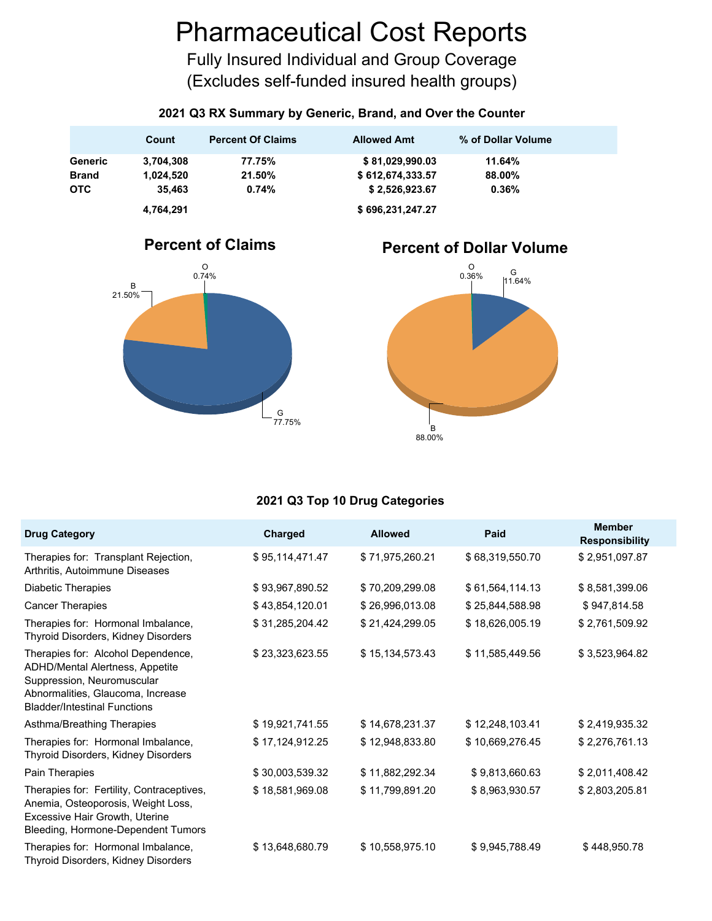# Pharmaceutical Cost Reports

Fully Insured Individual and Group Coverage (Excludes self-funded insured health groups)

#### **2021 Q3 RX Summary by Generic, Brand, and Over the Counter**

|              | Count     | <b>Percent Of Claims</b> | <b>Allowed Amt</b> | % of Dollar Volume |
|--------------|-----------|--------------------------|--------------------|--------------------|
| Generic      | 3.704.308 | 77.75%                   | \$81,029,990.03    | 11.64%             |
| <b>Brand</b> | 1.024.520 | 21.50%                   | \$612,674,333.57   | 88.00%             |
| <b>OTC</b>   | 35.463    | 0.74%                    | \$2,526,923.67     | 0.36%              |
|              | 4,764,291 |                          | \$696,231,247.27   |                    |



### **Percent of Dollar Volume**



#### **2021 Q3 Top 10 Drug Categories**

| <b>Drug Category</b>                                                                                                                                                            | Charged         | <b>Allowed</b>  | Paid            | <b>Member</b><br><b>Responsibility</b> |
|---------------------------------------------------------------------------------------------------------------------------------------------------------------------------------|-----------------|-----------------|-----------------|----------------------------------------|
| Therapies for: Transplant Rejection,<br>Arthritis, Autoimmune Diseases                                                                                                          | \$95,114,471.47 | \$71,975,260.21 | \$68,319,550.70 | \$2,951,097.87                         |
| Diabetic Therapies                                                                                                                                                              | \$93,967,890.52 | \$70,209,299.08 | \$61,564,114.13 | \$8,581,399.06                         |
| <b>Cancer Therapies</b>                                                                                                                                                         | \$43,854,120.01 | \$26,996,013.08 | \$25,844,588.98 | \$947,814.58                           |
| Therapies for: Hormonal Imbalance,<br>Thyroid Disorders, Kidney Disorders                                                                                                       | \$31,285,204.42 | \$21,424,299.05 | \$18,626,005.19 | \$2,761,509.92                         |
| Therapies for: Alcohol Dependence,<br>ADHD/Mental Alertness, Appetite<br>Suppression, Neuromuscular<br>Abnormalities, Glaucoma, Increase<br><b>Bladder/Intestinal Functions</b> | \$23,323,623.55 | \$15,134,573.43 | \$11,585,449.56 | \$3,523,964.82                         |
| Asthma/Breathing Therapies                                                                                                                                                      | \$19,921,741.55 | \$14,678,231.37 | \$12,248,103.41 | \$2,419,935.32                         |
| Therapies for: Hormonal Imbalance,<br>Thyroid Disorders, Kidney Disorders                                                                                                       | \$17,124,912.25 | \$12,948,833.80 | \$10,669,276.45 | \$2,276,761.13                         |
| Pain Therapies                                                                                                                                                                  | \$30,003,539.32 | \$11,882,292.34 | \$9,813,660.63  | \$2,011,408.42                         |
| Therapies for: Fertility, Contraceptives,<br>Anemia, Osteoporosis, Weight Loss,<br>Excessive Hair Growth, Uterine<br>Bleeding, Hormone-Dependent Tumors                         | \$18,581,969.08 | \$11,799,891.20 | \$8,963,930.57  | \$2,803,205.81                         |
| Therapies for: Hormonal Imbalance,<br>Thyroid Disorders, Kidney Disorders                                                                                                       | \$13,648,680.79 | \$10,558,975.10 | \$9,945,788.49  | \$448,950.78                           |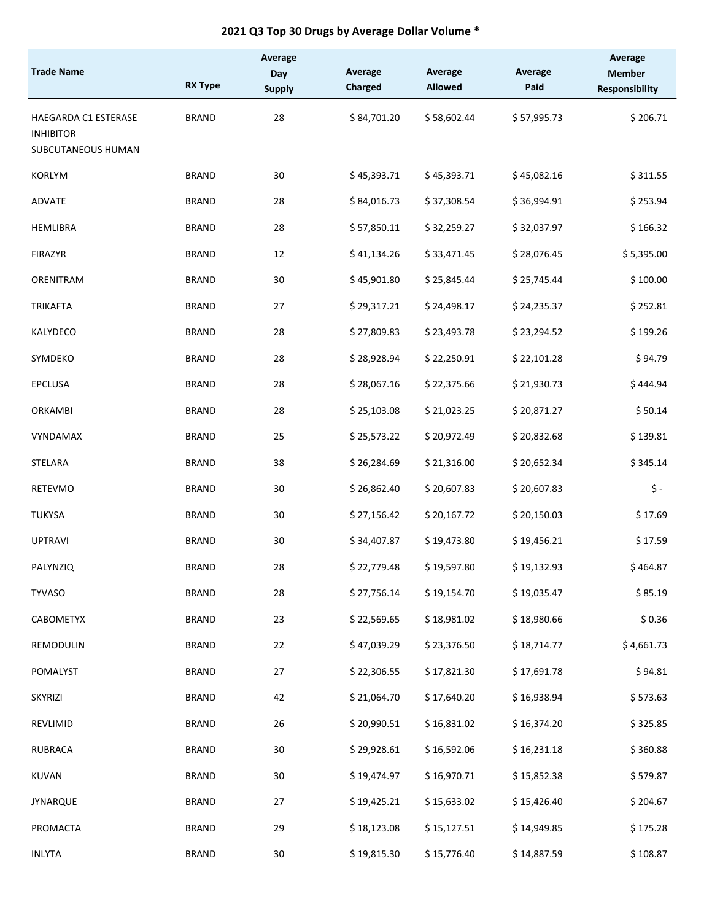#### **2021 Q3 Top 30 Drugs by Average Dollar Volume \***

| <b>Trade Name</b>                                              |                | Average<br>Day | Average     | Average        | Average     | Average<br><b>Member</b> |
|----------------------------------------------------------------|----------------|----------------|-------------|----------------|-------------|--------------------------|
|                                                                | <b>RX Type</b> | <b>Supply</b>  | Charged     | <b>Allowed</b> | Paid        | <b>Responsibility</b>    |
| HAEGARDA C1 ESTERASE<br><b>INHIBITOR</b><br>SUBCUTANEOUS HUMAN | <b>BRAND</b>   | 28             | \$84,701.20 | \$58,602.44    | \$57,995.73 | \$206.71                 |
| <b>KORLYM</b>                                                  | <b>BRAND</b>   | 30             | \$45,393.71 | \$45,393.71    | \$45,082.16 | \$311.55                 |
| ADVATE                                                         | <b>BRAND</b>   | 28             | \$84,016.73 | \$37,308.54    | \$36,994.91 | \$253.94                 |
| <b>HEMLIBRA</b>                                                | <b>BRAND</b>   | 28             | \$57,850.11 | \$32,259.27    | \$32,037.97 | \$166.32                 |
| <b>FIRAZYR</b>                                                 | <b>BRAND</b>   | 12             | \$41,134.26 | \$33,471.45    | \$28,076.45 | \$5,395.00               |
| ORENITRAM                                                      | <b>BRAND</b>   | 30             | \$45,901.80 | \$25,845.44    | \$25,745.44 | \$100.00                 |
| <b>TRIKAFTA</b>                                                | <b>BRAND</b>   | 27             | \$29,317.21 | \$24,498.17    | \$24,235.37 | \$252.81                 |
| KALYDECO                                                       | <b>BRAND</b>   | 28             | \$27,809.83 | \$23,493.78    | \$23,294.52 | \$199.26                 |
| SYMDEKO                                                        | <b>BRAND</b>   | 28             | \$28,928.94 | \$22,250.91    | \$22,101.28 | \$94.79                  |
| EPCLUSA                                                        | <b>BRAND</b>   | 28             | \$28,067.16 | \$22,375.66    | \$21,930.73 | \$444.94                 |
| ORKAMBI                                                        | <b>BRAND</b>   | 28             | \$25,103.08 | \$21,023.25    | \$20,871.27 | \$50.14                  |
| VYNDAMAX                                                       | <b>BRAND</b>   | 25             | \$25,573.22 | \$20,972.49    | \$20,832.68 | \$139.81                 |
| STELARA                                                        | <b>BRAND</b>   | 38             | \$26,284.69 | \$21,316.00    | \$20,652.34 | \$345.14                 |
| <b>RETEVMO</b>                                                 | <b>BRAND</b>   | 30             | \$26,862.40 | \$20,607.83    | \$20,607.83 | \$ -                     |
| <b>TUKYSA</b>                                                  | <b>BRAND</b>   | 30             | \$27,156.42 | \$20,167.72    | \$20,150.03 | \$17.69                  |
| <b>UPTRAVI</b>                                                 | <b>BRAND</b>   | 30             | \$34,407.87 | \$19,473.80    | \$19,456.21 | \$17.59                  |
| PALYNZIQ                                                       | <b>BRAND</b>   | 28             | \$22,779.48 | \$19,597.80    | \$19,132.93 | \$464.87                 |
| <b>TYVASO</b>                                                  | <b>BRAND</b>   | 28             | \$27,756.14 | \$19,154.70    | \$19,035.47 | \$85.19                  |
| CABOMETYX                                                      | <b>BRAND</b>   | 23             | \$22,569.65 | \$18,981.02    | \$18,980.66 | \$0.36                   |
| REMODULIN                                                      | <b>BRAND</b>   | 22             | \$47,039.29 | \$23,376.50    | \$18,714.77 | \$4,661.73               |
| POMALYST                                                       | <b>BRAND</b>   | 27             | \$22,306.55 | \$17,821.30    | \$17,691.78 | \$94.81                  |
| SKYRIZI                                                        | <b>BRAND</b>   | 42             | \$21,064.70 | \$17,640.20    | \$16,938.94 | \$573.63                 |
| REVLIMID                                                       | <b>BRAND</b>   | 26             | \$20,990.51 | \$16,831.02    | \$16,374.20 | \$325.85                 |
| <b>RUBRACA</b>                                                 | <b>BRAND</b>   | 30             | \$29,928.61 | \$16,592.06    | \$16,231.18 | \$360.88                 |
| KUVAN                                                          | <b>BRAND</b>   | 30             | \$19,474.97 | \$16,970.71    | \$15,852.38 | \$579.87                 |
| <b>JYNARQUE</b>                                                | <b>BRAND</b>   | 27             | \$19,425.21 | \$15,633.02    | \$15,426.40 | \$204.67                 |
| PROMACTA                                                       | <b>BRAND</b>   | 29             | \$18,123.08 | \$15,127.51    | \$14,949.85 | \$175.28                 |
| <b>INLYTA</b>                                                  | <b>BRAND</b>   | 30             | \$19,815.30 | \$15,776.40    | \$14,887.59 | \$108.87                 |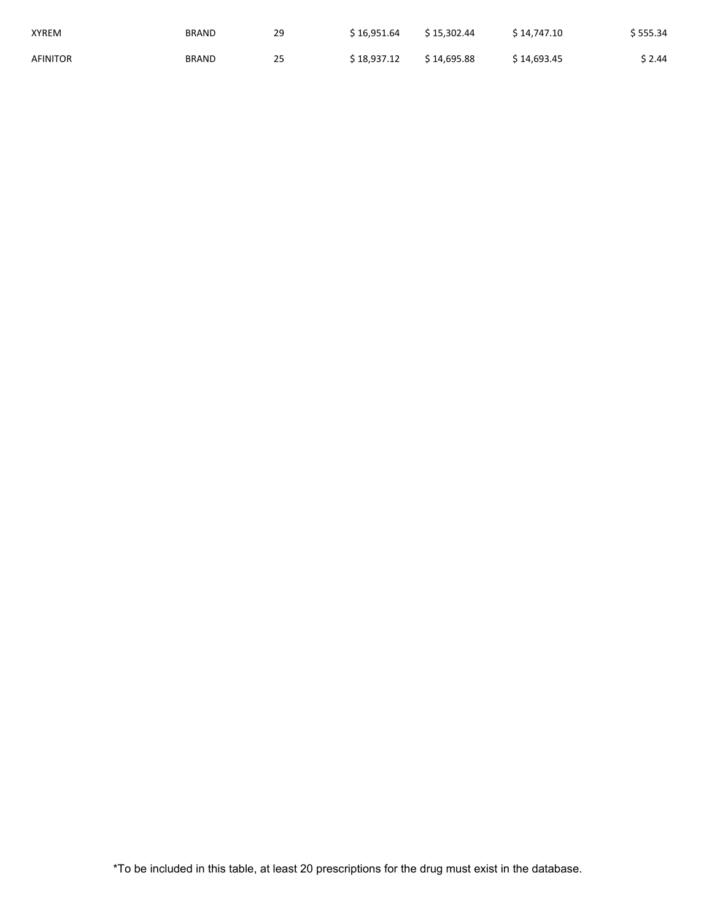| XYREM    | <b>BRAND</b> | 29 | \$16.951.64 | \$ 15.302.44 | \$14.747.10  | \$555.34 |
|----------|--------------|----|-------------|--------------|--------------|----------|
| AFINITOR | <b>BRAND</b> | 25 | \$18.937.12 | \$ 14.695.88 | \$ 14.693.45 | \$ 2.44  |

\*To be included in this table, at least 20 prescriptions for the drug must exist in the database.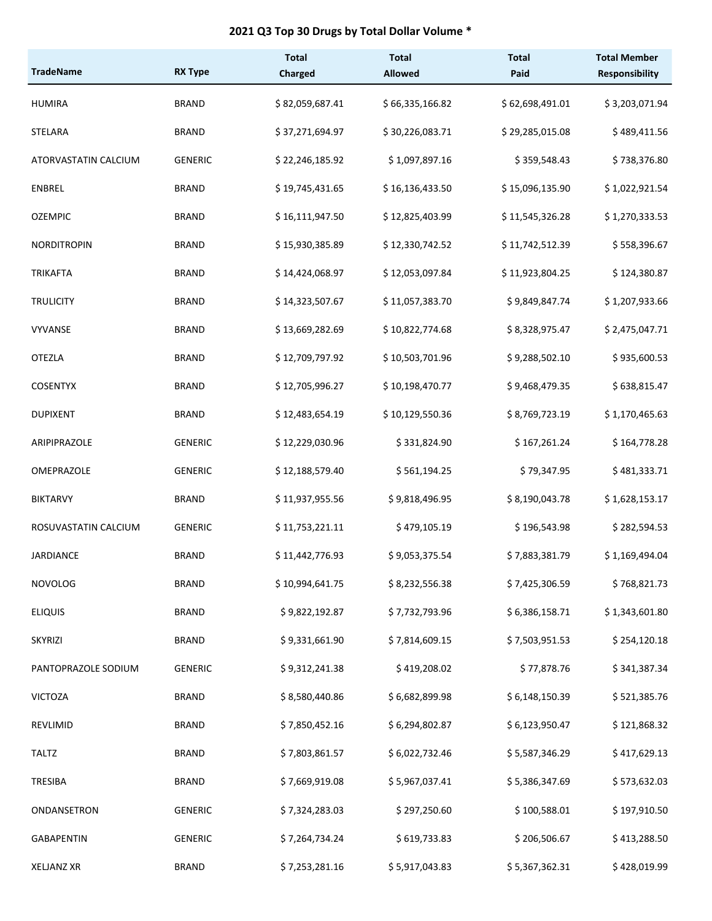#### **2021 Q3 Top 30 Drugs by Total Dollar Volume \***

| <b>TradeName</b>     | <b>RX Type</b> | <b>Total</b><br>Charged | <b>Total</b><br><b>Allowed</b> | <b>Total</b><br>Paid | <b>Total Member</b><br><b>Responsibility</b> |
|----------------------|----------------|-------------------------|--------------------------------|----------------------|----------------------------------------------|
| <b>HUMIRA</b>        | <b>BRAND</b>   | \$82,059,687.41         | \$66,335,166.82                | \$62,698,491.01      | \$3,203,071.94                               |
| <b>STELARA</b>       | <b>BRAND</b>   | \$37,271,694.97         | \$30,226,083.71                | \$29,285,015.08      | \$489,411.56                                 |
| ATORVASTATIN CALCIUM | <b>GENERIC</b> | \$22,246,185.92         | \$1,097,897.16                 | \$359,548.43         | \$738,376.80                                 |
| <b>ENBREL</b>        | <b>BRAND</b>   | \$19,745,431.65         | \$16,136,433.50                | \$15,096,135.90      | \$1,022,921.54                               |
| <b>OZEMPIC</b>       | <b>BRAND</b>   | \$16,111,947.50         | \$12,825,403.99                | \$11,545,326.28      | \$1,270,333.53                               |
| <b>NORDITROPIN</b>   | <b>BRAND</b>   | \$15,930,385.89         | \$12,330,742.52                | \$11,742,512.39      | \$558,396.67                                 |
| <b>TRIKAFTA</b>      | <b>BRAND</b>   | \$14,424,068.97         | \$12,053,097.84                | \$11,923,804.25      | \$124,380.87                                 |
| <b>TRULICITY</b>     | <b>BRAND</b>   | \$14,323,507.67         | \$11,057,383.70                | \$9,849,847.74       | \$1,207,933.66                               |
| <b>VYVANSE</b>       | <b>BRAND</b>   | \$13,669,282.69         | \$10,822,774.68                | \$8,328,975.47       | \$2,475,047.71                               |
| <b>OTEZLA</b>        | <b>BRAND</b>   | \$12,709,797.92         | \$10,503,701.96                | \$9,288,502.10       | \$935,600.53                                 |
| <b>COSENTYX</b>      | <b>BRAND</b>   | \$12,705,996.27         | \$10,198,470.77                | \$9,468,479.35       | \$638,815.47                                 |
| <b>DUPIXENT</b>      | <b>BRAND</b>   | \$12,483,654.19         | \$10,129,550.36                | \$8,769,723.19       | \$1,170,465.63                               |
| ARIPIPRAZOLE         | <b>GENERIC</b> | \$12,229,030.96         | \$331,824.90                   | \$167,261.24         | \$164,778.28                                 |
| OMEPRAZOLE           | <b>GENERIC</b> | \$12,188,579.40         | \$561,194.25                   | \$79,347.95          | \$481,333.71                                 |
| <b>BIKTARVY</b>      | <b>BRAND</b>   | \$11,937,955.56         | \$9,818,496.95                 | \$8,190,043.78       | \$1,628,153.17                               |
| ROSUVASTATIN CALCIUM | <b>GENERIC</b> | \$11,753,221.11         | \$479,105.19                   | \$196,543.98         | \$282,594.53                                 |
| <b>JARDIANCE</b>     | <b>BRAND</b>   | \$11,442,776.93         | \$9,053,375.54                 | \$7,883,381.79       | \$1,169,494.04                               |
| <b>NOVOLOG</b>       | <b>BRAND</b>   | \$10,994,641.75         | \$8,232,556.38                 | \$7,425,306.59       | \$768,821.73                                 |
| <b>ELIQUIS</b>       | <b>BRAND</b>   | \$9,822,192.87          | \$7,732,793.96                 | \$6,386,158.71       | \$1,343,601.80                               |
| SKYRIZI              | <b>BRAND</b>   | \$9,331,661.90          | \$7,814,609.15                 | \$7,503,951.53       | \$254,120.18                                 |
| PANTOPRAZOLE SODIUM  | <b>GENERIC</b> | \$9,312,241.38          | \$419,208.02                   | \$77,878.76          | \$341,387.34                                 |
| <b>VICTOZA</b>       | <b>BRAND</b>   | \$8,580,440.86          | \$6,682,899.98                 | \$6,148,150.39       | \$521,385.76                                 |
| REVLIMID             | <b>BRAND</b>   | \$7,850,452.16          | \$6,294,802.87                 | \$6,123,950.47       | \$121,868.32                                 |
| <b>TALTZ</b>         | <b>BRAND</b>   | \$7,803,861.57          | \$6,022,732.46                 | \$5,587,346.29       | \$417,629.13                                 |
| TRESIBA              | <b>BRAND</b>   | \$7,669,919.08          | \$5,967,037.41                 | \$5,386,347.69       | \$573,632.03                                 |
| ONDANSETRON          | <b>GENERIC</b> | \$7,324,283.03          | \$297,250.60                   | \$100,588.01         | \$197,910.50                                 |
| <b>GABAPENTIN</b>    | <b>GENERIC</b> | \$7,264,734.24          | \$619,733.83                   | \$206,506.67         | \$413,288.50                                 |
| <b>XELJANZ XR</b>    | <b>BRAND</b>   | \$7,253,281.16          | \$5,917,043.83                 | \$5,367,362.31       | \$428,019.99                                 |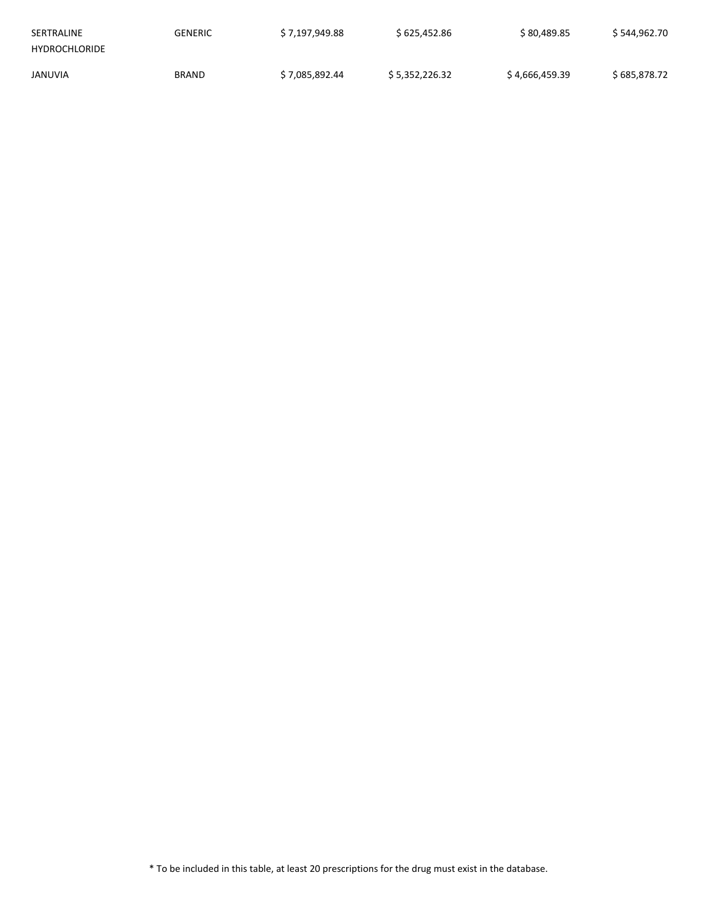| SERTRALINE           | GENERIC      | \$7,197,949.88 | \$625,452.86   | \$80,489.85    | \$544,962.70 |
|----------------------|--------------|----------------|----------------|----------------|--------------|
| <b>HYDROCHLORIDE</b> |              |                |                |                |              |
| <b>JANUVIA</b>       | <b>BRAND</b> | \$7.085.892.44 | \$5.352.226.32 | \$4.666.459.39 | \$685.878.72 |

\* To be included in this table, at least 20 prescriptions for the drug must exist in the database.